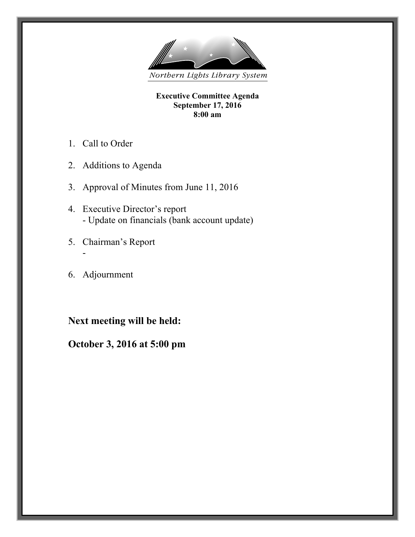

**Executive Committee Agenda September 17, 2016 8:00 am**

- 1. Call to Order
- 2. Additions to Agenda
- 3. Approval of Minutes from June 11, 2016
- 4. Executive Director's report - Update on financials (bank account update)
- 5. Chairman's Report
- 6. Adjournment

-

## **Next meeting will be held:**

## **October 3, 2016 at 5:00 pm**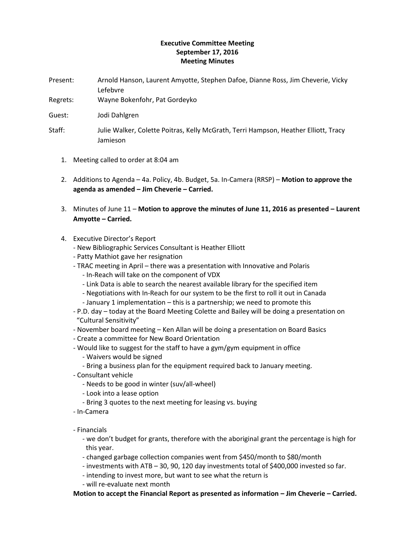## **Executive Committee Meeting September 17, 2016 Meeting Minutes**

- Present: Arnold Hanson, Laurent Amyotte, Stephen Dafoe, Dianne Ross, Jim Cheverie, Vicky Lefebvre
- Regrets: Wayne Bokenfohr, Pat Gordeyko
- Guest: Jodi Dahlgren
- Staff: Julie Walker, Colette Poitras, Kelly McGrath, Terri Hampson, Heather Elliott, Tracy Jamieson
	- 1. Meeting called to order at 8:04 am
	- 2. Additions to Agenda 4a. Policy, 4b. Budget, 5a. In-Camera (RRSP) **Motion to approve the agenda as amended – Jim Cheverie – Carried.**
	- 3. Minutes of June 11 **Motion to approve the minutes of June 11, 2016 as presented – Laurent Amyotte – Carried.**
	- 4. Executive Director's Report
		- New Bibliographic Services Consultant is Heather Elliott
		- Patty Mathiot gave her resignation
		- TRAC meeting in April there was a presentation with Innovative and Polaris
			- In-Reach will take on the component of VDX
			- Link Data is able to search the nearest available library for the specified item
			- Negotiations with In-Reach for our system to be the first to roll it out in Canada - January 1 implementation – this is a partnership; we need to promote this
		- P.D. day today at the Board Meeting Colette and Bailey will be doing a presentation on "Cultural Sensitivity"
		- November board meeting Ken Allan will be doing a presentation on Board Basics
		- Create a committee for New Board Orientation
		- Would like to suggest for the staff to have a gym/gym equipment in office
			- Waivers would be signed
			- Bring a business plan for the equipment required back to January meeting.
		- Consultant vehicle
			- Needs to be good in winter (suv/all-wheel)
			- Look into a lease option
			- Bring 3 quotes to the next meeting for leasing vs. buying
		- In-Camera
		- Financials
			- we don't budget for grants, therefore with the aboriginal grant the percentage is high for this year.
			- changed garbage collection companies went from \$450/month to \$80/month
			- investments with ATB 30, 90, 120 day investments total of \$400,000 invested so far.
			- intending to invest more, but want to see what the return is
			- will re-evaluate next month

**Motion to accept the Financial Report as presented as information – Jim Cheverie – Carried.**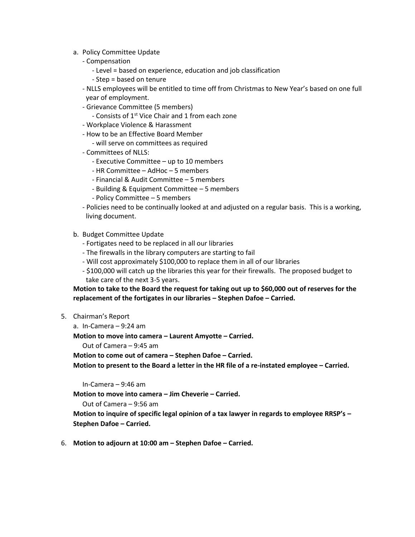- a. Policy Committee Update
	- Compensation
		- Level = based on experience, education and job classification
		- Step = based on tenure
	- NLLS employees will be entitled to time off from Christmas to New Year's based on one full year of employment.
	- Grievance Committee (5 members)
		- Consists of 1<sup>st</sup> Vice Chair and 1 from each zone
	- Workplace Violence & Harassment
	- How to be an Effective Board Member
		- will serve on committees as required
	- Committees of NLLS:
		- Executive Committee up to 10 members
		- HR Committee AdHoc 5 members
		- Financial & Audit Committee 5 members
		- Building & Equipment Committee 5 members
		- Policy Committee 5 members
	- Policies need to be continually looked at and adjusted on a regular basis. This is a working, living document.
- b. Budget Committee Update
	- Fortigates need to be replaced in all our libraries
	- The firewalls in the library computers are starting to fail
	- Will cost approximately \$100,000 to replace them in all of our libraries
	- \$100,000 will catch up the libraries this year for their firewalls. The proposed budget to take care of the next 3-5 years.

**Motion to take to the Board the request for taking out up to \$60,000 out of reserves for the replacement of the fortigates in our libraries – Stephen Dafoe – Carried.**

- 5. Chairman's Report
	- a. In-Camera 9:24 am

**Motion to move into camera – Laurent Amyotte – Carried.**

Out of Camera – 9:45 am

**Motion to come out of camera – Stephen Dafoe – Carried.**

**Motion to present to the Board a letter in the HR file of a re-instated employee – Carried.**

In-Camera – 9:46 am

**Motion to move into camera – Jim Cheverie – Carried.**

Out of Camera – 9:56 am

**Motion to inquire of specific legal opinion of a tax lawyer in regards to employee RRSP's – Stephen Dafoe – Carried.**

6. **Motion to adjourn at 10:00 am – Stephen Dafoe – Carried.**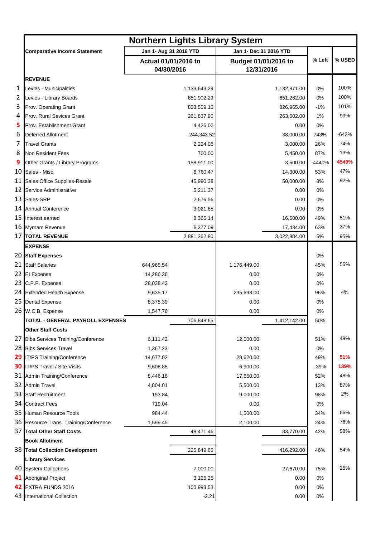|   |                                        | <b>Northern Lights Library System</b> |               |                                    |              |        |         |  |
|---|----------------------------------------|---------------------------------------|---------------|------------------------------------|--------------|--------|---------|--|
|   | <b>Comparative Income Statement</b>    | Jan 1- Aug 31 2016 YTD                |               | Jan 1- Dec 31 2016 YTD             |              |        |         |  |
|   |                                        | Actual 01/01/2016 to<br>04/30/2016    |               | Budget 01/01/2016 to<br>12/31/2016 |              | % Left | % USED  |  |
|   | <b>REVENUE</b>                         |                                       |               |                                    |              |        |         |  |
| 1 | Levies - Municipalities                |                                       | 1,133,643.29  |                                    | 1,132,871.00 | 0%     | 100%    |  |
| 2 | Levies - Library Boards                |                                       | 651,902.29    |                                    | 651,262.00   | 0%     | 100%    |  |
| 3 | Prov. Operating Grant                  |                                       | 833,559.10    |                                    | 826,965.00   | $-1%$  | 101%    |  |
| 4 | Prov. Rural Sevices Grant              |                                       | 261,837.90    |                                    | 263,602.00   | 1%     | 99%     |  |
| 5 | Prov. Establishment Grant              |                                       | 4,426.00      |                                    | 0.00         | 0%     |         |  |
| 6 | <b>Deferred Allotment</b>              |                                       | $-244,343.52$ |                                    | 38,000.00    | 743%   | $-643%$ |  |
| 7 | <b>Travel Grants</b>                   |                                       | 2,224.08      |                                    | 3,000.00     | 26%    | 74%     |  |
| 8 | Non Resident Fees                      |                                       | 700.00        |                                    | 5,450.00     | 87%    | 13%     |  |
| 9 | Other Grants / Library Programs        |                                       | 158,911.00    |                                    | 3,500.00     | -4440% | 4540%   |  |
|   | 10 Sales - Misc.                       |                                       | 6,760.47      |                                    | 14,300.00    | 53%    | 47%     |  |
|   | 11 Sales Office Supplies-Resale        |                                       | 45,990.38     |                                    | 50,000.00    | 8%     | 92%     |  |
|   | 12 Service Administrative              |                                       | 5,211.37      |                                    | 0.00         | 0%     |         |  |
|   | 13 Sales-SRP                           |                                       | 2,676.56      |                                    | 0.00         | 0%     |         |  |
|   | 14 Annual Conference                   |                                       | 3,021.65      |                                    | 0.00         | 0%     |         |  |
|   | 15 Interest earned                     |                                       | 8,365.14      |                                    | 16,500.00    | 49%    | 51%     |  |
|   | 16 Myrnam Revenue                      |                                       | 6,377.09      |                                    | 17,434.00    | 63%    | 37%     |  |
|   | 17 TOTAL REVENUE                       |                                       | 2,881,262.80  |                                    | 3,022,884.00 | 5%     | 95%     |  |
|   | <b>EXPENSE</b>                         |                                       |               |                                    |              |        |         |  |
|   | 20 Staff Expenses                      |                                       |               |                                    |              | 0%     |         |  |
|   | 21 Staff Salaries                      | 644,965.54                            |               | 1,176,449.00                       |              | 45%    | 55%     |  |
|   | 22 El Expense                          | 14,286.36                             |               | 0.00                               |              | 0%     |         |  |
|   | 23 C.P.P. Expense                      | 28,038.43                             |               | 0.00                               |              | 0%     |         |  |
|   | 24 Extended Health Expense             | 9,635.17                              |               | 235,693.00                         |              | 96%    | 4%      |  |
|   | 25 Dental Expense                      | 8,375.39                              |               | 0.00                               |              | 0%     |         |  |
|   | 26 W.C.B. Expense                      | 1,547.76                              |               | 0.00                               |              | 0%     |         |  |
|   | TOTAL - GENERAL PAYROLL EXPENSES       |                                       | 706,848.65    |                                    | 1,412,142.00 | 50%    |         |  |
|   | <b>Other Staff Costs</b>               |                                       |               |                                    |              |        |         |  |
|   | 27 Bibs Services Training/Conference   | 6,111.42                              |               | 12,500.00                          |              | 51%    | 49%     |  |
|   | 28 Bibs Services Travel                | 1,367.23                              |               | 0.00                               |              | 0%     |         |  |
|   | 29 IT/PS Training/Conference           | 14,677.02                             |               | 28,620.00                          |              | 49%    | 51%     |  |
|   | <b>30</b> IT/PS Travel / Site Visits   | 9,608.85                              |               | 6,900.00                           |              | $-39%$ | 139%    |  |
|   | 31 Admin Training/Conference           | 8,446.16                              |               | 17,650.00                          |              | 52%    | 48%     |  |
|   | 32 Admin Travel                        | 4,804.01                              |               | 5,500.00                           |              | 13%    | 87%     |  |
|   | 33 Staff Recruitment                   | 153.84                                |               | 9,000.00                           |              | 98%    | 2%      |  |
|   | 34 Contract Fees                       | 719.04                                |               | 0.00                               |              | 0%     |         |  |
|   | 35 Human Resource Tools                | 984.44                                |               | 1,500.00                           |              | 34%    | 66%     |  |
|   | 36 Resource Trans. Training/Conference | 1,599.45                              |               | 2,100.00                           |              | 24%    | 76%     |  |
|   | 37 Total Other Staff Costs             |                                       | 48,471.46     |                                    | 83,770.00    | 42%    | 58%     |  |
|   | <b>Book Allotment</b>                  |                                       |               |                                    |              |        |         |  |
|   | 38 Total Collection Development        |                                       | 225,849.85    |                                    | 416,292.00   | 46%    | 54%     |  |
|   | <b>Library Services</b>                |                                       |               |                                    |              |        |         |  |
|   | 40 System Collections                  |                                       | 7,000.00      |                                    | 27,670.00    | 75%    | 25%     |  |
|   | 41 Aboriginal Project                  |                                       | 3,125.25      |                                    | 0.00         | 0%     |         |  |
|   | 42 EXTRA FUNDS 2016                    |                                       | 100,993.53    |                                    | 0.00         | 0%     |         |  |
|   | 43 International Collection            |                                       | $-2.21$       |                                    | 0.00         | 0%     |         |  |
|   |                                        |                                       |               |                                    |              |        |         |  |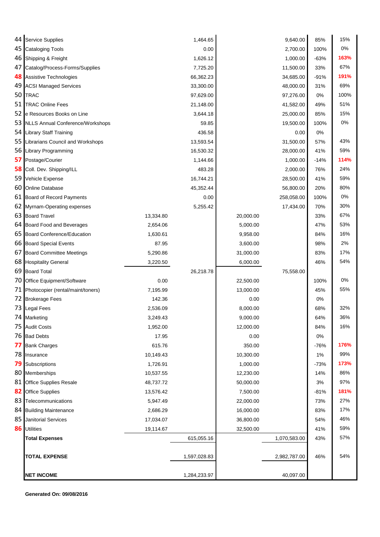| 44 Service Supplies                  |           | 1,464.65     |           | 9,640.00     | 85%    | 15%  |
|--------------------------------------|-----------|--------------|-----------|--------------|--------|------|
| 45 Cataloging Tools                  |           | 0.00         |           | 2,700.00     | 100%   | 0%   |
| 46 Shipping & Freight                |           | 1,626.12     |           | 1,000.00     | $-63%$ | 163% |
| 47 Catalog/Process-Forms/Supplies    |           | 7,725.20     |           | 11,500.00    | 33%    | 67%  |
| 48 Assistive Technologies            |           | 66,362.23    |           | 34,685.00    | $-91%$ | 191% |
| 49 ACSI Managed Services             |           | 33,300.00    |           | 48,000.00    | 31%    | 69%  |
| 50 TRAC                              |           | 97,629.00    |           | 97,276.00    | 0%     | 100% |
| 51 TRAC Online Fees                  |           | 21,148.00    |           | 41,582.00    | 49%    | 51%  |
| 52 e Resources Books on Line         |           | 3,644.18     |           | 25,000.00    | 85%    | 15%  |
| 53 NLLS Annual Conference/Workshops  |           | 59.85        |           | 19,500.00    | 100%   | 0%   |
| 54 Library Staff Training            |           | 436.58       |           | 0.00         | 0%     |      |
| 55 Librarians Council and Workshops  |           | 13,593.54    |           | 31,500.00    | 57%    | 43%  |
| 56 Library Programming               |           | 16,530.32    |           | 28,000.00    | 41%    | 59%  |
| 57 Postage/Courier                   |           | 1,144.66     |           | 1,000.00     | $-14%$ | 114% |
| 58 Coll. Dev. Shipping/ILL           |           | 483.28       |           | 2,000.00     | 76%    | 24%  |
| 59 Vehicle Expense                   |           | 16,744.21    |           | 28,500.00    | 41%    | 59%  |
| 60 Online Database                   |           | 45,352.44    |           | 56,800.00    | 20%    | 80%  |
| 61 Board of Record Payments          |           | 0.00         |           | 258,058.00   | 100%   | 0%   |
| 62 Myrnam-Operating expenses         |           | 5,255.42     |           | 17,434.00    | 70%    | 30%  |
| 63 Board Travel                      | 13,334.80 |              | 20,000.00 |              | 33%    | 67%  |
| 64 Board Food and Beverages          | 2,654.06  |              | 5,000.00  |              | 47%    | 53%  |
| 65 Board Conference/Education        | 1,630.61  |              | 9,958.00  |              | 84%    | 16%  |
| 66 Board Special Events              | 87.95     |              | 3,600.00  |              | 98%    | 2%   |
| 67 Board Committee Meetings          | 5,290.86  |              | 31,000.00 |              | 83%    | 17%  |
| 68 Hospitality General               | 3,220.50  |              | 6,000.00  |              | 46%    | 54%  |
| 69 Board Total                       |           | 26,218.78    |           | 75,558.00    |        |      |
| 70 Office Equipment/Software         | 0.00      |              | 22,500.00 |              | 100%   | 0%   |
| 71 Photocopier (rental/maint/toners) | 7,195.99  |              | 13,000.00 |              | 45%    | 55%  |
| 72 Brokerage Fees                    | 142.36    |              | 0.00      |              | 0%     |      |
| 73 Legal Fees                        | 2,536.09  |              | 8,000.00  |              | 68%    | 32%  |
| 74 Marketing                         | 3,249.43  |              | 9,000.00  |              | 64%    | 36%  |
| 75 Audit Costs                       | 1,952.00  |              | 12,000.00 |              | 84%    | 16%  |
| 76 Bad Debts                         | 17.95     |              | 0.00      |              | 0%     |      |
| 77 Bank Charges                      | 615.76    |              | 350.00    |              | -76%   | 176% |
| 78 Insurance                         | 10,149.43 |              | 10,300.00 |              | $1\%$  | 99%  |
| 79 Subscriptions                     | 1,726.91  |              | 1,000.00  |              | $-73%$ | 173% |
| 80 Memberships                       | 10,537.55 |              | 12,230.00 |              | 14%    | 86%  |
| 81 Office Supplies Resale            | 48,737.72 |              | 50,000.00 |              | 3%     | 97%  |
| 82 Office Supplies                   | 13,576.42 |              | 7,500.00  |              | $-81%$ | 181% |
| 83 Telecommunications                | 5,947.49  |              | 22,000.00 |              | 73%    | 27%  |
| 84 Building Maintenance              | 2,686.29  |              | 16,000.00 |              | 83%    | 17%  |
| 85 Janitorial Services               | 17,034.07 |              | 36,800.00 |              | 54%    | 46%  |
| 86 Utilities                         | 19,114.67 |              | 32,500.00 |              | 41%    | 59%  |
| <b>Total Expenses</b>                |           | 615,055.16   |           | 1,070,583.00 | 43%    | 57%  |
| <b>TOTAL EXPENSE</b>                 |           | 1,597,028.83 |           | 2,982,787.00 | 46%    | 54%  |
| <b>NET INCOME</b>                    |           | 1,284,233.97 |           | 40,097.00    |        |      |

**Generated On: 09/08/2016**